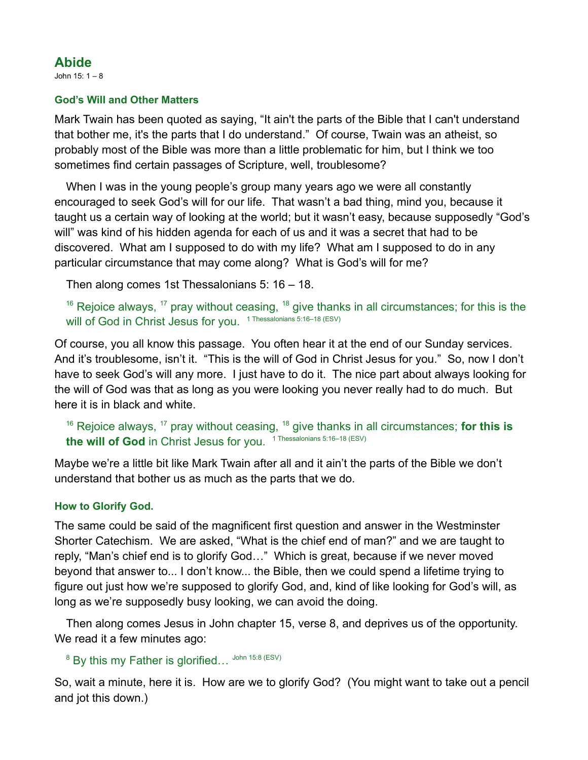# **Abide**

John 15: 1 – 8

### **God's Will and Other Matters**

Mark Twain has been quoted as saying, "It ain't the parts of the Bible that I can't understand that bother me, it's the parts that I do understand." Of course, Twain was an atheist, so probably most of the Bible was more than a little problematic for him, but I think we too sometimes find certain passages of Scripture, well, troublesome?

When I was in the young people's group many years ago we were all constantly encouraged to seek God's will for our life. That wasn't a bad thing, mind you, because it taught us a certain way of looking at the world; but it wasn't easy, because supposedly "God's will" was kind of his hidden agenda for each of us and it was a secret that had to be discovered. What am I supposed to do with my life? What am I supposed to do in any particular circumstance that may come along? What is God's will for me?

Then along comes 1st Thessalonians 5: 16 – 18.

 $^{16}$  Rejoice always,  $^{17}$  pray without ceasing,  $^{18}$  give thanks in all circumstances; for this is the will of God in Christ Jesus for you. 1 Thessalonians 5:16–18 (ESV)

Of course, you all know this passage. You often hear it at the end of our Sunday services. And it's troublesome, isn't it. "This is the will of God in Christ Jesus for you." So, now I don't have to seek God's will any more. I just have to do it. The nice part about always looking for the will of God was that as long as you were looking you never really had to do much. But here it is in black and white.

```
<sup>16</sup> Rejoice always, <sup>17</sup> pray without ceasing, <sup>18</sup> give thanks in all circumstances; for this is
the will of God in Christ Jesus for you. 
1 Thessalonians 5:16–18 (ESV)
```
Maybe we're a little bit like Mark Twain after all and it ain't the parts of the Bible we don't understand that bother us as much as the parts that we do.

### **How to Glorify God.**

The same could be said of the magnificent first question and answer in the Westminster Shorter Catechism. We are asked, "What is the chief end of man?" and we are taught to reply, "Man's chief end is to glorify God…" Which is great, because if we never moved beyond that answer to... I don't know... the Bible, then we could spend a lifetime trying to figure out just how we're supposed to glorify God, and, kind of like looking for God's will, as long as we're supposedly busy looking, we can avoid the doing.

Then along comes Jesus in John chapter 15, verse 8, and deprives us of the opportunity. We read it a few minutes ago:

 $^8$  By this my Father is glorified…  $^{John\ 15:8\ (ESV)}$ 

So, wait a minute, here it is. How are we to glorify God? (You might want to take out a pencil and jot this down.)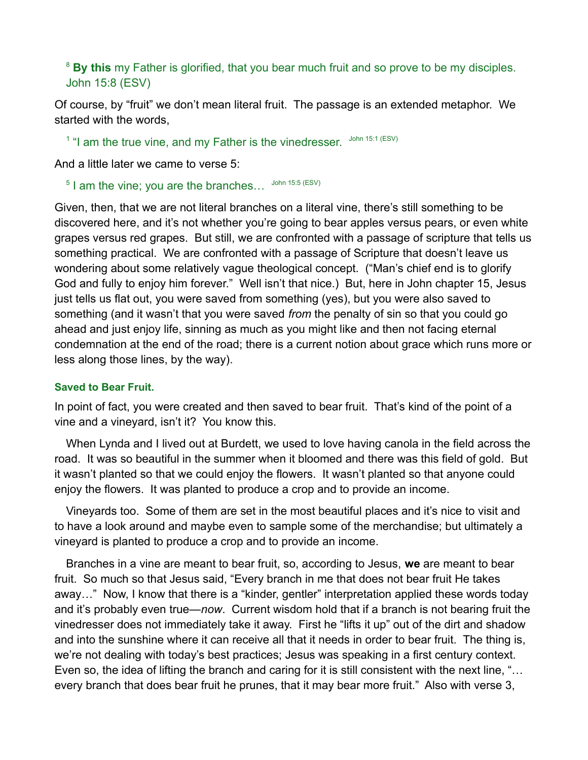<sup>8</sup> By this my Father is glorified, that you bear much fruit and so prove to be my disciples. John 15:8 (ESV)

Of course, by "fruit" we don't mean literal fruit. The passage is an extended metaphor. We started with the words,

<sup>1</sup> "I am the true vine, and my Father is the vinedresser.  $\frac{1}{2}$  John 15:1 (ESV)

And a little later we came to verse 5:

 $5$  I am the vine; you are the branches...  $\frac{John 15:5 (ESV)}{3}$ 

Given, then, that we are not literal branches on a literal vine, there's still something to be discovered here, and it's not whether you're going to bear apples versus pears, or even white grapes versus red grapes. But still, we are confronted with a passage of scripture that tells us something practical. We are confronted with a passage of Scripture that doesn't leave us wondering about some relatively vague theological concept. ("Man's chief end is to glorify God and fully to enjoy him forever." Well isn't that nice.) But, here in John chapter 15, Jesus just tells us flat out, you were saved from something (yes), but you were also saved to something (and it wasn't that you were saved *from* the penalty of sin so that you could go ahead and just enjoy life, sinning as much as you might like and then not facing eternal condemnation at the end of the road; there is a current notion about grace which runs more or less along those lines, by the way).

#### **Saved to Bear Fruit.**

In point of fact, you were created and then saved to bear fruit. That's kind of the point of a vine and a vineyard, isn't it? You know this.

When Lynda and I lived out at Burdett, we used to love having canola in the field across the road. It was so beautiful in the summer when it bloomed and there was this field of gold. But it wasn't planted so that we could enjoy the flowers. It wasn't planted so that anyone could enjoy the flowers. It was planted to produce a crop and to provide an income.

Vineyards too. Some of them are set in the most beautiful places and it's nice to visit and to have a look around and maybe even to sample some of the merchandise; but ultimately a vineyard is planted to produce a crop and to provide an income.

Branches in a vine are meant to bear fruit, so, according to Jesus, **we** are meant to bear fruit. So much so that Jesus said, "Every branch in me that does not bear fruit He takes away…" Now, I know that there is a "kinder, gentler" interpretation applied these words today and it's probably even true—*now*. Current wisdom hold that if a branch is not bearing fruit the vinedresser does not immediately take it away. First he "lifts it up" out of the dirt and shadow and into the sunshine where it can receive all that it needs in order to bear fruit. The thing is, we're not dealing with today's best practices; Jesus was speaking in a first century context. Even so, the idea of lifting the branch and caring for it is still consistent with the next line, "… every branch that does bear fruit he prunes, that it may bear more fruit." Also with verse 3,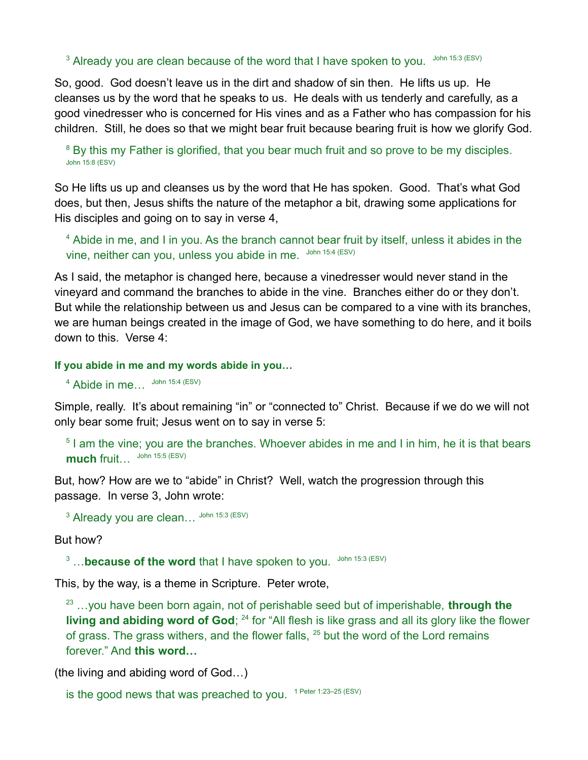$3$  Already you are clean because of the word that I have spoken to you.  $\frac{1}{2}$  John 15:3 (ESV)

So, good. God doesn't leave us in the dirt and shadow of sin then. He lifts us up. He cleanses us by the word that he speaks to us. He deals with us tenderly and carefully, as a good vinedresser who is concerned for His vines and as a Father who has compassion for his children. Still, he does so that we might bear fruit because bearing fruit is how we glorify God.

<sup>8</sup> By this my Father is glorified, that you bear much fruit and so prove to be my disciples. John 15:8 (ESV)

So He lifts us up and cleanses us by the word that He has spoken. Good. That's what God does, but then, Jesus shifts the nature of the metaphor a bit, drawing some applications for His disciples and going on to say in verse 4,

<sup>4</sup> Abide in me, and I in you. As the branch cannot bear fruit by itself, unless it abides in the vine, neither can you, unless you abide in me. John 15:4 (ESV)

As I said, the metaphor is changed here, because a vinedresser would never stand in the vineyard and command the branches to abide in the vine. Branches either do or they don't. But while the relationship between us and Jesus can be compared to a vine with its branches, we are human beings created in the image of God, we have something to do here, and it boils down to this. Verse 4:

**If you abide in me and my words abide in you…** 

 $4$  Abide in me...  $\frac{\text{John } 15:4 \text{ (ESV)}}{4}$ 

Simple, really. It's about remaining "in" or "connected to" Christ. Because if we do we will not only bear some fruit; Jesus went on to say in verse 5:

<sup>5</sup> I am the vine; you are the branches. Whoever abides in me and I in him, he it is that bears **much** fruit... John 15:5 (ESV)

But, how? How are we to "abide" in Christ? Well, watch the progression through this passage. In verse 3, John wrote:

 $^3$  Already you are clean...  $\frac{John 15:3}{(ESV)}$ 

But how?

<sup>3</sup> ...**because of the word** that I have spoken to you. John 15:3 (ESV)

This, by the way, is a theme in Scripture. Peter wrote,

23 …you have been born again, not of perishable seed but of imperishable, **through the living and abiding word of God**; <sup>24</sup> for "All flesh is like grass and all its glory like the flower of grass. The grass withers, and the flower falls, <sup>25</sup> but the word of the Lord remains forever." And **this word…** 

(the living and abiding word of God…)

is the good news that was preached to you. <sup>1 Peter 1:23–25 (ESV)</sup>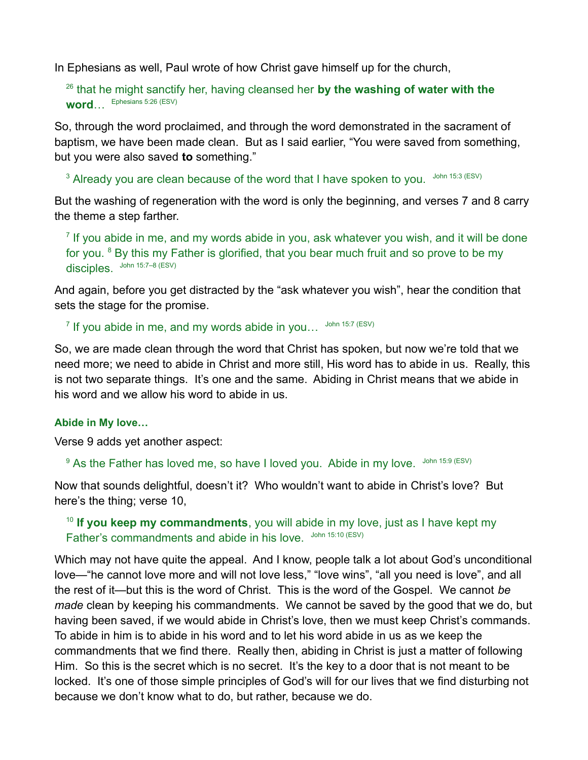In Ephesians as well, Paul wrote of how Christ gave himself up for the church,

<sup>26</sup> that he might sanctify her, having cleansed her **by the washing of water with the word**… Ephesians 5:26 (ESV)

So, through the word proclaimed, and through the word demonstrated in the sacrament of baptism, we have been made clean. But as I said earlier, "You were saved from something, but you were also saved **to** something."

 $3$  Already you are clean because of the word that I have spoken to you.  $\frac{1}{2}$  John 15:3 (ESV)

But the washing of regeneration with the word is only the beginning, and verses 7 and 8 carry the theme a step farther.

 $<sup>7</sup>$  If you abide in me, and my words abide in you, ask whatever you wish, and it will be done</sup> for you. <sup>8</sup> By this my Father is glorified, that you bear much fruit and so prove to be my disciples. John 15:7–8 (ESV)

And again, before you get distracted by the "ask whatever you wish", hear the condition that sets the stage for the promise.

 $^7$  If you abide in me, and my words abide in you…  $^{\,$  John 15:7 (ESV)

So, we are made clean through the word that Christ has spoken, but now we're told that we need more; we need to abide in Christ and more still, His word has to abide in us. Really, this is not two separate things. It's one and the same. Abiding in Christ means that we abide in his word and we allow his word to abide in us.

### **Abide in My love…**

Verse 9 adds yet another aspect:

 $9$  As the Father has loved me, so have I loved you. Abide in my love.  $^{John 15:9~\text{(ESV)}}$ 

Now that sounds delightful, doesn't it? Who wouldn't want to abide in Christ's love? But here's the thing; verse 10,

## <sup>10</sup> If you keep my commandments, you will abide in my love, just as I have kept my Father's commandments and abide in his love. John 15:10 (ESV)

Which may not have quite the appeal. And I know, people talk a lot about God's unconditional love—"he cannot love more and will not love less," "love wins", "all you need is love", and all the rest of it—but this is the word of Christ. This is the word of the Gospel. We cannot *be made* clean by keeping his commandments. We cannot be saved by the good that we do, but having been saved, if we would abide in Christ's love, then we must keep Christ's commands. To abide in him is to abide in his word and to let his word abide in us as we keep the commandments that we find there. Really then, abiding in Christ is just a matter of following Him. So this is the secret which is no secret. It's the key to a door that is not meant to be locked. It's one of those simple principles of God's will for our lives that we find disturbing not because we don't know what to do, but rather, because we do.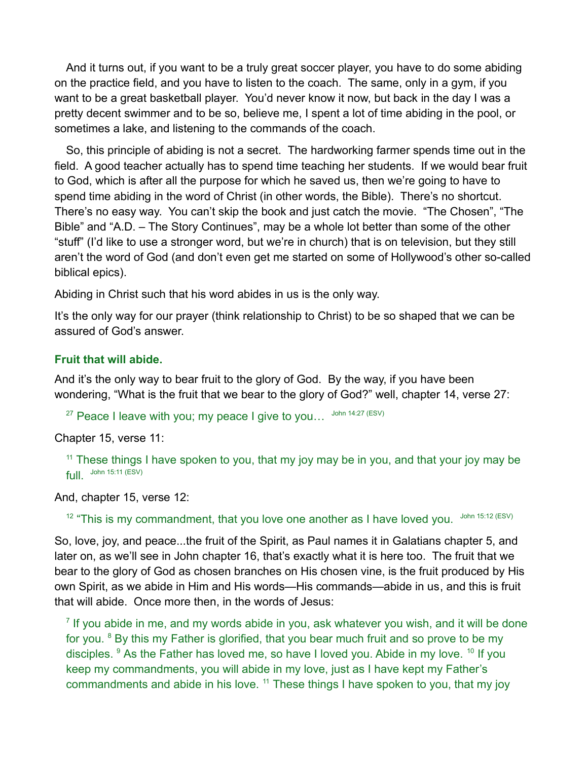And it turns out, if you want to be a truly great soccer player, you have to do some abiding on the practice field, and you have to listen to the coach. The same, only in a gym, if you want to be a great basketball player. You'd never know it now, but back in the day I was a pretty decent swimmer and to be so, believe me, I spent a lot of time abiding in the pool, or sometimes a lake, and listening to the commands of the coach.

So, this principle of abiding is not a secret. The hardworking farmer spends time out in the field. A good teacher actually has to spend time teaching her students. If we would bear fruit to God, which is after all the purpose for which he saved us, then we're going to have to spend time abiding in the word of Christ (in other words, the Bible). There's no shortcut. There's no easy way. You can't skip the book and just catch the movie. "The Chosen", "The Bible" and "A.D. – The Story Continues", may be a whole lot better than some of the other "stuff" (I'd like to use a stronger word, but we're in church) that is on television, but they still aren't the word of God (and don't even get me started on some of Hollywood's other so-called biblical epics).

Abiding in Christ such that his word abides in us is the only way.

It's the only way for our prayer (think relationship to Christ) to be so shaped that we can be assured of God's answer.

### **Fruit that will abide.**

And it's the only way to bear fruit to the glory of God. By the way, if you have been wondering, "What is the fruit that we bear to the glory of God?" well, chapter 14, verse 27:

<sup>27</sup> Peace I leave with you; my peace I give to you...  $\frac{John 14:27}{ESV}$ 

Chapter 15, verse 11:

 $11$  These things I have spoken to you, that my joy may be in you, and that your joy may be  $full.$  John 15:11 (ESV)

And, chapter 15, verse 12:

<sup>12</sup> "This is my commandment, that you love one another as I have loved you. John 15:12 (ESV)

So, love, joy, and peace...the fruit of the Spirit, as Paul names it in Galatians chapter 5, and later on, as we'll see in John chapter 16, that's exactly what it is here too. The fruit that we bear to the glory of God as chosen branches on His chosen vine, is the fruit produced by His own Spirit, as we abide in Him and His words—His commands—abide in us, and this is fruit that will abide. Once more then, in the words of Jesus:

 $<sup>7</sup>$  If you abide in me, and my words abide in you, ask whatever you wish, and it will be done</sup> for you.  $8$  By this my Father is glorified, that you bear much fruit and so prove to be my disciples.  $9$  As the Father has loved me, so have I loved you. Abide in my love.  $10$  If you keep my commandments, you will abide in my love, just as I have kept my Father's commandments and abide in his love.  $11$  These things I have spoken to you, that my joy